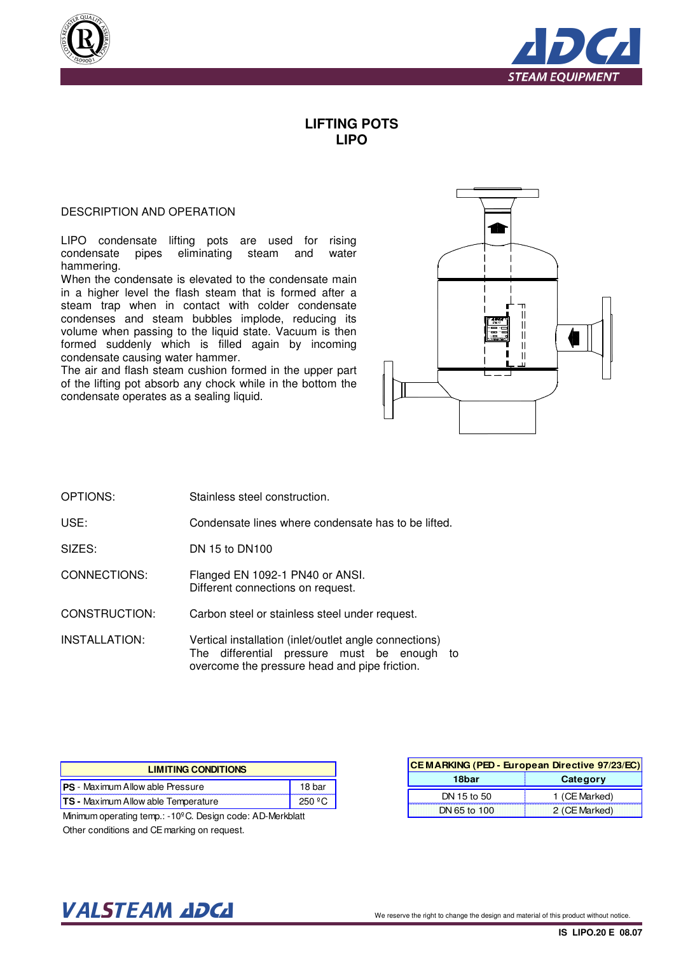



## **LIFTING POTS LIPO**

## DESCRIPTION AND OPERATION

LIPO condensate lifting pots are used for rising condensate pipes eliminating steam and water hammering.

When the condensate is elevated to the condensate main in a higher level the flash steam that is formed after a steam trap when in contact with colder condensate condenses and steam bubbles implode, reducing its volume when passing to the liquid state. Vacuum is then formed suddenly which is filled again by incoming condensate causing water hammer.

The air and flash steam cushion formed in the upper part of the lifting pot absorb any chock while in the bottom the condensate operates as a sealing liquid.



- OPTIONS: Stainless steel construction.
- USE: Condensate lines where condensate has to be lifted.
- SIZES: DN 15 to DN100

CONNECTIONS: Flanged EN 1092-1 PN40 or ANSI. Different connections on request.

CONSTRUCTION: Carbon steel or stainless steel under request.

INSTALLATION: Vertical installation (inlet/outlet angle connections) The differential pressure must be enough to overcome the pressure head and pipe friction.

| <b>LIMITING CONDITIONS</b>                 |        |  |  |  |  |  |  |
|--------------------------------------------|--------|--|--|--|--|--|--|
| <b>PS</b> - Maximum Allow able Pressure    | 18 bar |  |  |  |  |  |  |
| <b>TS - Maximum Allow able Temperature</b> |        |  |  |  |  |  |  |

Minimum operating temp.: -10ºC. Design code: AD-Merkblatt Other conditions and CE marking on request.

| CE MARKING (PED - European Directive 97/23/EC) |               |  |  |  |  |  |
|------------------------------------------------|---------------|--|--|--|--|--|
| 18bar                                          | Category      |  |  |  |  |  |
| DN 15 to 50                                    | 1 (CE Marked) |  |  |  |  |  |
| DN 65 to 100                                   | 2 (CE Marked) |  |  |  |  |  |